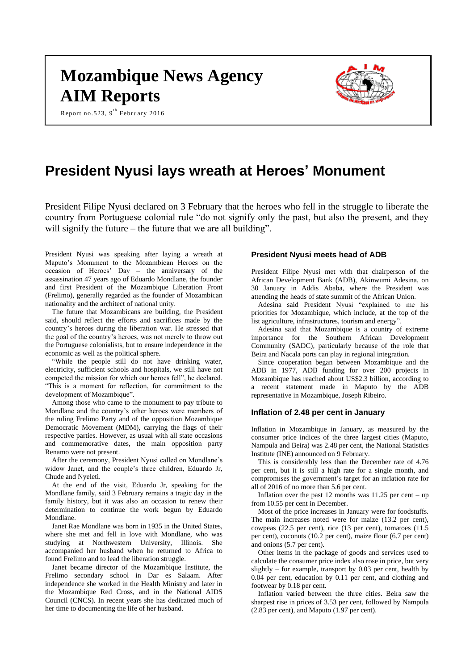# **Mozambique News Agency AIM Reports**

Report no.523, 9<sup>th</sup> February 2016



# **President Nyusi lays wreath at Heroes' Monument**

President Filipe Nyusi declared on 3 February that the heroes who fell in the struggle to liberate the country from Portuguese colonial rule "do not signify only the past, but also the present, and they will signify the future – the future that we are all building".

President Nyusi was speaking after laying a wreath at Maputo's Monument to the Mozambican Heroes on the occasion of Heroes' Day – the anniversary of the assassination 47 years ago of Eduardo Mondlane, the founder and first President of the Mozambique Liberation Front (Frelimo), generally regarded as the founder of Mozambican nationality and the architect of national unity.

The future that Mozambicans are building, the President said, should reflect the efforts and sacrifices made by the country's heroes during the liberation war. He stressed that the goal of the country's heroes, was not merely to throw out the Portuguese colonialists, but to ensure independence in the economic as well as the political sphere.

"While the people still do not have drinking water, electricity, sufficient schools and hospitals, we still have not competed the mission for which our heroes fell", he declared. "This is a moment for reflection, for commitment to the development of Mozambique".

Among those who came to the monument to pay tribute to Mondlane and the country's other heroes were members of the ruling Frelimo Party and of the opposition Mozambique Democratic Movement (MDM), carrying the flags of their respective parties. However, as usual with all state occasions and commemorative dates, the main opposition party Renamo were not present.

After the ceremony, President Nyusi called on Mondlane's widow Janet, and the couple's three children, Eduardo Jr, Chude and Nyeleti.

At the end of the visit, Eduardo Jr, speaking for the Mondlane family, said 3 February remains a tragic day in the family history, but it was also an occasion to renew their determination to continue the work begun by Eduardo Mondlane.

Janet Rae Mondlane was born in 1935 in the United States, where she met and fell in love with Mondlane, who was studying at Northwestern University, Illinois. She accompanied her husband when he returned to Africa to found Frelimo and to lead the liberation struggle.

Janet became director of the Mozambique Institute, the Frelimo secondary school in Dar es Salaam. After independence she worked in the Health Ministry and later in the Mozambique Red Cross, and in the National AIDS Council (CNCS). In recent years she has dedicated much of her time to documenting the life of her husband.

#### **President Nyusi meets head of ADB**

President Filipe Nyusi met with that chairperson of the African Development Bank (ADB), Akinwumi Adesina, on 30 January in Addis Ababa, where the President was attending the heads of state summit of the African Union.

Adesina said President Nyusi "explained to me his priorities for Mozambique, which include, at the top of the list agriculture, infrastructures, tourism and energy'

Adesina said that Mozambique is a country of extreme importance for the Southern African Development Community (SADC), particularly because of the role that Beira and Nacala ports can play in regional integration.

Since cooperation began between Mozambique and the ADB in 1977, ADB funding for over 200 projects in Mozambique has reached about US\$2.3 billion, according to a recent statement made in Maputo by the ADB representative in Mozambique, Joseph Ribeiro.

#### **Inflation of 2.48 per cent in January**

Inflation in Mozambique in January, as measured by the consumer price indices of the three largest cities (Maputo, Nampula and Beira) was 2.48 per cent, the National Statistics Institute (INE) announced on 9 February.

This is considerably less than the December rate of 4.76 per cent, but it is still a high rate for a single month, and compromises the government's target for an inflation rate for all of 2016 of no more than 5.6 per cent.

Inflation over the past 12 months was  $11.25$  per cent – up from 10.55 per cent in December.

Most of the price increases in January were for foodstuffs. The main increases noted were for maize (13.2 per cent), cowpeas (22.5 per cent), rice (13 per cent), tomatoes (11.5 per cent), coconuts (10.2 per cent), maize flour (6.7 per cent) and onions (5.7 per cent).

Other items in the package of goods and services used to calculate the consumer price index also rose in price, but very slightly – for example, transport by 0.03 per cent, health by 0.04 per cent, education by 0.11 per cent, and clothing and footwear by 0.18 per cent.

Inflation varied between the three cities. Beira saw the sharpest rise in prices of 3.53 per cent, followed by Nampula (2.83 per cent), and Maputo (1.97 per cent).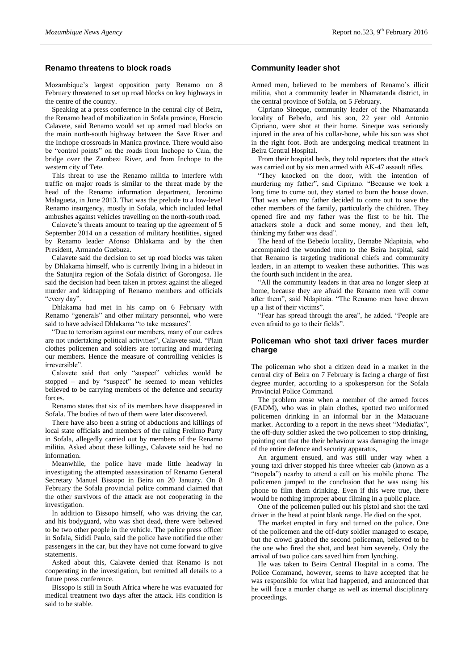# **Renamo threatens to block roads**

Mozambique's largest opposition party Renamo on 8 February threatened to set up road blocks on key highways in the centre of the country.

Speaking at a press conference in the central city of Beira, the Renamo head of mobilization in Sofala province, Horacio Calavete, said Renamo would set up armed road blocks on the main north-south highway between the Save River and the Inchope crossroads in Manica province. There would also be "control points" on the roads from Inchope to Caia, the bridge over the Zambezi River, and from Inchope to the western city of Tete.

This threat to use the Renamo militia to interfere with traffic on major roads is similar to the threat made by the head of the Renamo information department, Jeronimo Malagueta, in June 2013. That was the prelude to a low-level Renamo insurgency, mostly in Sofala, which included lethal ambushes against vehicles travelling on the north-south road.

Calavete's threats amount to tearing up the agreement of 5 September 2014 on a cessation of military hostilities, signed by Renamo leader Afonso Dhlakama and by the then President, Armando Guebuza.

Calavete said the decision to set up road blocks was taken by Dhlakama himself, who is currently living in a hideout in the Satunjira region of the Sofala district of Gorongosa. He said the decision had been taken in protest against the alleged murder and kidnapping of Renamo members and officials "every day".

Dhlakama had met in his camp on 6 February with Renamo "generals" and other military personnel, who were said to have advised Dhlakama "to take measures".

"Due to terrorism against our members, many of our cadres are not undertaking political activities", Calavete said. "Plain clothes policemen and soldiers are torturing and murdering our members. Hence the measure of controlling vehicles is irreversible".

Calavete said that only "suspect" vehicles would be stopped – and by "suspect" he seemed to mean vehicles believed to be carrying members of the defence and security forces.

Renamo states that six of its members have disappeared in Sofala. The bodies of two of them were later discovered.

There have also been a string of abductions and killings of local state officials and members of the ruling Frelimo Party in Sofala, allegedly carried out by members of the Renamo militia. Asked about these killings, Calavete said he had no information.

Meanwhile, the police have made little headway in investigating the attempted assassination of Renamo General Secretary Manuel Bissopo in Beira on 20 January. On 8 February the Sofala provincial police command claimed that the other survivors of the attack are not cooperating in the investigation.

In addition to Bissopo himself, who was driving the car, and his bodyguard, who was shot dead, there were believed to be two other people in the vehicle. The police press officer in Sofala, Sididi Paulo, said the police have notified the other passengers in the car, but they have not come forward to give statements.

Asked about this, Calavete denied that Renamo is not cooperating in the investigation, but remitted all details to a future press conference.

Bissopo is still in South Africa where he was evacuated for medical treatment two days after the attack. His condition is said to be stable.

# **Community leader shot**

Armed men, believed to be members of Renamo's illicit militia, shot a community leader in Nhamatanda district, in the central province of Sofala, on 5 February.

Cipriano Sineque, community leader of the Nhamatanda locality of Bebedo, and his son, 22 year old Antonio Cipriano, were shot at their home. Sineque was seriously injured in the area of his collar-bone, while his son was shot in the right foot. Both are undergoing medical treatment in Beira Central Hospital.

From their hospital beds, they told reporters that the attack was carried out by six men armed with AK-47 assault rifles.

"They knocked on the door, with the intention of murdering my father", said Cipriano. "Because we took a long time to come out, they started to burn the house down. That was when my father decided to come out to save the other members of the family, particularly the children. They opened fire and my father was the first to be hit. The attackers stole a duck and some money, and then left, thinking my father was dead".

The head of the Bebedo locality, Bernabe Ndapitaia, who accompanied the wounded men to the Beira hospital, said that Renamo is targeting traditional chiefs and community leaders, in an attempt to weaken these authorities. This was the fourth such incident in the area.

"All the community leaders in that area no longer sleep at home, because they are afraid the Renamo men will come after them", said Ndapitaia. "The Renamo men have drawn up a list of their victims".

"Fear has spread through the area", he added. "People are even afraid to go to their fields".

# **Policeman who shot taxi driver faces murder charge**

The policeman who shot a citizen dead in a market in the central city of Beira on 7 February is facing a charge of first degree murder, according to a spokesperson for the Sofala Provincial Police Command.

The problem arose when a member of the armed forces (FADM), who was in plain clothes, spotted two uniformed policemen drinking in an informal bar in the Matacuane market. According to a report in the news sheet "Mediafax", the off-duty soldier asked the two policemen to stop drinking, pointing out that the their behaviour was damaging the image of the entire defence and security apparatus,

An argument ensued, and was still under way when a young taxi driver stopped his three wheeler cab (known as a "txopela") nearby to attend a call on his mobile phone. The policemen jumped to the conclusion that he was using his phone to film them drinking. Even if this were true, there would be nothing improper about filming in a public place.

One of the policemen pulled out his pistol and shot the taxi driver in the head at point blank range. He died on the spot.

The market erupted in fury and turned on the police. One of the policemen and the off-duty soldier managed to escape, but the crowd grabbed the second policeman, believed to be the one who fired the shot, and beat him severely. Only the arrival of two police cars saved him from lynching.

He was taken to Beira Central Hospital in a coma. The Police Command, however, seems to have accepted that he was responsible for what had happened, and announced that he will face a murder charge as well as internal disciplinary proceedings.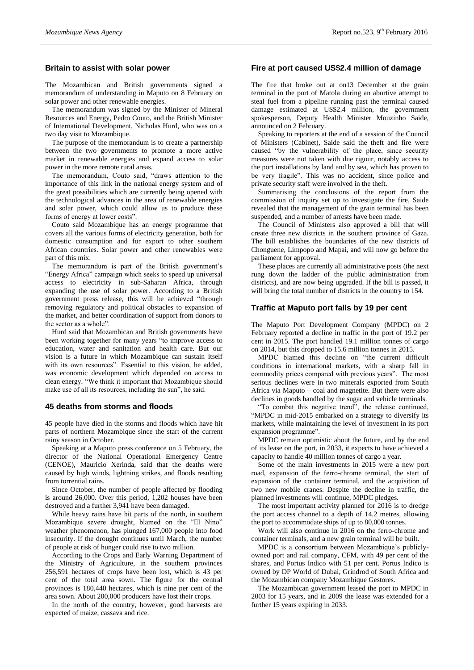### **Britain to assist with solar power**

The Mozambican and British governments signed a memorandum of understanding in Maputo on 8 February on solar power and other renewable energies.

The memorandum was signed by the Minister of Mineral Resources and Energy, Pedro Couto, and the British Minister of International Development, Nicholas Hurd, who was on a two day visit to Mozambique.

The purpose of the memorandum is to create a partnership between the two governments to promote a more active market in renewable energies and expand access to solar power in the more remote rural areas.

The memorandum, Couto said, "draws attention to the importance of this link in the national energy system and of the great possibilities which are currently being opened with the technological advances in the area of renewable energies and solar power, which could allow us to produce these forms of energy at lower costs".

Couto said Mozambique has an energy programme that covers all the various forms of electricity generation, both for domestic consumption and for export to other southern African countries. Solar power and other renewables were part of this mix.

The memorandum is part of the British government's "Energy Africa" campaign which seeks to speed up universal access to electricity in sub-Saharan Africa, through expanding the use of solar power. According to a British government press release, this will be achieved "through removing regulatory and political obstacles to expansion of the market, and better coordination of support from donors to the sector as a whole".

Hurd said that Mozambican and British governments have been working together for many years "to improve access to education, water and sanitation and health care. But our vision is a future in which Mozambique can sustain itself with its own resources". Essential to this vision, he added, was economic development which depended on access to clean energy. "We think it important that Mozambique should make use of all its resources, including the sun", he said.

#### **45 deaths from storms and floods**

45 people have died in the storms and floods which have hit parts of northern Mozambique since the start of the current rainy season in October.

Speaking at a Maputo press conference on 5 February, the director of the National Operational Emergency Centre (CENOE), Mauricio Xerinda, said that the deaths were caused by high winds, lightning strikes, and floods resulting from torrential rains.

Since October, the number of people affected by flooding is around 26,000. Over this period, 1,202 houses have been destroyed and a further 3,941 have been damaged.

While heavy rains have hit parts of the north, in southern Mozambique severe drought, blamed on the "El Nino" weather phenomenon, has plunged 167,000 people into food insecurity. If the drought continues until March, the number of people at risk of hunger could rise to two million.

According to the Crops and Early Warning Department of the Ministry of Agriculture, in the southern provinces 256,591 hectares of crops have been lost, which is 43 per cent of the total area sown. The figure for the central provinces is 180,440 hectares, which is nine per cent of the area sown. About 200,000 producers have lost their crops.

In the north of the country, however, good harvests are expected of maize, cassava and rice.

# **Fire at port caused US\$2.4 million of damage**

The fire that broke out at on13 December at the grain terminal in the port of Matola during an abortive attempt to steal fuel from a pipeline running past the terminal caused damage estimated at US\$2.4 million, the government spokesperson, Deputy Health Minister Mouzinho Saide, announced on 2 February.

Speaking to reporters at the end of a session of the Council of Ministers (Cabinet), Saide said the theft and fire were caused "by the vulnerability of the place, since security measures were not taken with due rigour, notably access to the port installations by land and by sea, which has proven to be very fragile". This was no accident, since police and private security staff were involved in the theft.

Summarising the conclusions of the report from the commission of inquiry set up to investigate the fire, Saide revealed that the management of the grain terminal has been suspended, and a number of arrests have been made.

The Council of Ministers also approved a bill that will create three new districts in the southern province of Gaza. The bill establishes the boundaries of the new districts of Chonguene, Limpopo and Mapai, and will now go before the parliament for approval.

These places are currently all administrative posts (the next rung down the ladder of the public administration from districts), and are now being upgraded. If the bill is passed, it will bring the total number of districts in the country to 154.

# **Traffic at Maputo port falls by 19 per cent**

The Maputo Port Development Company (MPDC) on 2 February reported a decline in traffic in the port of 19.2 per cent in 2015. The port handled 19.1 million tonnes of cargo on 2014, but this dropped to 15.6 million tonnes in 2015.

MPDC blamed this decline on "the current difficult conditions in international markets, with a sharp fall in commodity prices compared with previous years". The most serious declines were in two minerals exported from South Africa via Maputo – coal and magnetite. But there were also declines in goods handled by the sugar and vehicle terminals.

"To combat this negative trend", the release continued, "MPDC in mid-2015 embarked on a strategy to diversify its markets, while maintaining the level of investment in its port expansion programme".

MPDC remain optimistic about the future, and by the end of its lease on the port, in 2033, it expects to have achieved a capacity to handle 40 million tonnes of cargo a year.

Some of the main investments in 2015 were a new port road, expansion of the ferro-chrome terminal, the start of expansion of the container terminal, and the acquisition of two new mobile cranes. Despite the decline in traffic, the planned investments will continue, MPDC pledges.

The most important activity planned for 2016 is to dredge the port access channel to a depth of 14.2 metres, allowing the port to accommodate ships of up to 80,000 tonnes.

Work will also continue in 2016 on the ferro-chrome and container terminals, and a new grain terminal will be built.

MPDC is a consortium between Mozambique's publiclyowned port and rail company, CFM, with 49 per cent of the shares, and Portus Indico with 51 per cent. Portus Indico is owned by DP World of Dubai, Grindrod of South Africa and the Mozambican company Mozambique Gestores.

The Mozambican government leased the port to MPDC in 2003 for 15 years, and in 2009 the lease was extended for a further 15 years expiring in 2033.